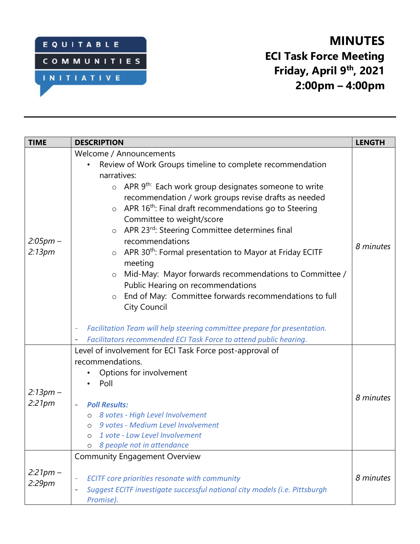

# **MINUTES ECI Task Force Meeting Friday, April 9th , 2021 2:00pm – 4:00pm**

| <b>TIME</b>          | <b>DESCRIPTION</b>                                                                                                                                                                                                                                                                                                                                                                                                                                                                                                                                                                                                                                                                                                                                                                                                                                                                      | <b>LENGTH</b> |
|----------------------|-----------------------------------------------------------------------------------------------------------------------------------------------------------------------------------------------------------------------------------------------------------------------------------------------------------------------------------------------------------------------------------------------------------------------------------------------------------------------------------------------------------------------------------------------------------------------------------------------------------------------------------------------------------------------------------------------------------------------------------------------------------------------------------------------------------------------------------------------------------------------------------------|---------------|
| $2:05pm -$<br>2:13pm | Welcome / Announcements<br>Review of Work Groups timeline to complete recommendation<br>narratives:<br>$\circ$ APR 9 <sup>th:</sup> Each work group designates someone to write<br>recommendation / work groups revise drafts as needed<br>APR 16 <sup>th</sup> : Final draft recommendations go to Steering<br>$\circ$<br>Committee to weight/score<br>APR 23rd: Steering Committee determines final<br>$\circ$<br>recommendations<br>APR 30 <sup>th</sup> : Formal presentation to Mayor at Friday ECITF<br>$\circ$<br>meeting<br>Mid-May: Mayor forwards recommendations to Committee /<br>$\circ$<br>Public Hearing on recommendations<br>End of May: Committee forwards recommendations to full<br>$\circ$<br><b>City Council</b><br>Facilitation Team will help steering committee prepare for presentation.<br>Facilitators recommended ECI Task Force to attend public hearing. | 8 minutes     |
| $2:13pm -$<br>2:21pm | Level of involvement for ECI Task Force post-approval of<br>recommendations.<br>Options for involvement<br>Poll<br><b>Poll Results:</b><br>o 8 votes - High Level Involvement<br>9 votes - Medium Level Involvement<br>$\circ$<br>1 vote - Low Level Involvement<br>$\circ$<br>8 people not in attendance<br>O                                                                                                                                                                                                                                                                                                                                                                                                                                                                                                                                                                          | 8 minutes     |
| $2:21pm -$<br>2:29pm | <b>Community Engagement Overview</b><br>ECITF core priorities resonate with community<br>÷<br>Suggest ECITF investigate successful national city models (i.e. Pittsburgh<br>$\qquad \qquad \blacksquare$<br>Promise).                                                                                                                                                                                                                                                                                                                                                                                                                                                                                                                                                                                                                                                                   | 8 minutes     |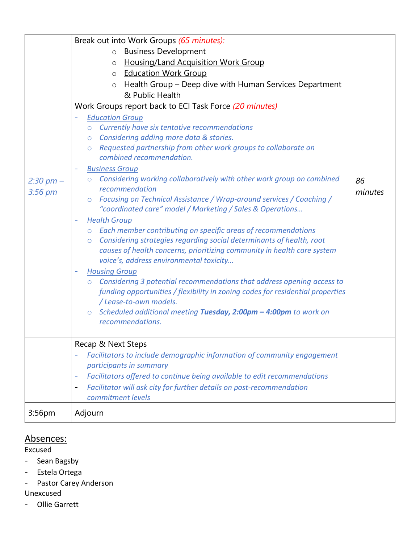|                                | Break out into Work Groups (65 minutes):                                                             |         |
|--------------------------------|------------------------------------------------------------------------------------------------------|---------|
| $2:30 \text{ pm} -$<br>3:56 pm | o Business Development                                                                               |         |
|                                | <b>Housing/Land Acquisition Work Group</b><br>$\circ$                                                |         |
|                                | <b>Education Work Group</b><br>$\circ$                                                               |         |
|                                | Health Group - Deep dive with Human Services Department                                              |         |
|                                | & Public Health                                                                                      |         |
|                                | Work Groups report back to ECI Task Force (20 minutes)                                               |         |
|                                | <b>Education Group</b>                                                                               |         |
|                                | o Currently have six tentative recommendations                                                       |         |
|                                | o Considering adding more data & stories.                                                            |         |
|                                | o Requested partnership from other work groups to collaborate on                                     |         |
|                                | combined recommendation.                                                                             |         |
|                                | <b>Business Group</b>                                                                                |         |
|                                | o Considering working collaboratively with other work group on combined                              | 86      |
|                                | recommendation                                                                                       | minutes |
|                                | ○ Focusing on Technical Assistance / Wrap-around services / Coaching /                               |         |
|                                | "coordinated care" model / Marketing / Sales & Operations                                            |         |
|                                | <b>Health Group</b>                                                                                  |         |
|                                | Each member contributing on specific areas of recommendations<br>$\circ$                             |         |
|                                | Considering strategies regarding social determinants of health, root<br>$\circ$                      |         |
|                                | causes of health concerns, prioritizing community in health care system                              |         |
|                                | voice's, address environmental toxicity                                                              |         |
|                                | <b>Housing Group</b>                                                                                 |         |
|                                | Considering 3 potential recommendations that address opening access to<br>$\circ$                    |         |
|                                | funding opportunities / flexibility in zoning codes for residential properties                       |         |
|                                | / Lease-to-own models.                                                                               |         |
|                                | $\circ$ Scheduled additional meeting Tuesday, 2:00pm - 4:00pm to work on<br>recommendations.         |         |
|                                |                                                                                                      |         |
|                                | Recap & Next Steps                                                                                   |         |
|                                | Facilitators to include demographic information of community engagement                              |         |
|                                | participants in summary                                                                              |         |
|                                | Facilitators offered to continue being available to edit recommendations<br>$\overline{\phantom{a}}$ |         |
|                                | Facilitator will ask city for further details on post-recommendation<br>$\blacksquare$               |         |
|                                | commitment levels                                                                                    |         |
| 3:56pm                         | Adjourn                                                                                              |         |
|                                |                                                                                                      |         |

### Absences:

Excused

- Sean Bagsby
- Estela Ortega
- Pastor Carey Anderson

Unexcused

- Ollie Garrett